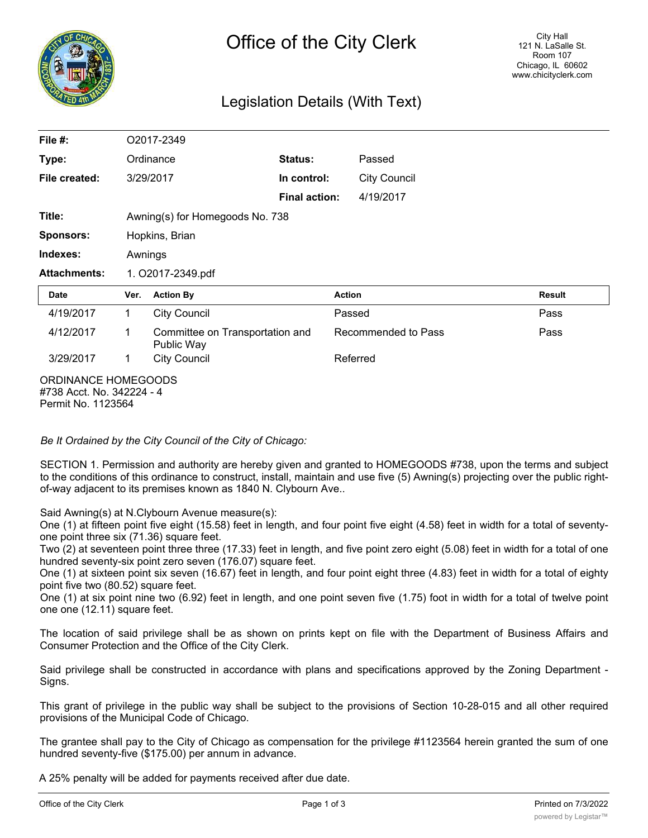

# Legislation Details (With Text)

| File $#$ :                                                             |      | O2017-2349                                    |                      |                     |        |  |
|------------------------------------------------------------------------|------|-----------------------------------------------|----------------------|---------------------|--------|--|
| Type:                                                                  |      | Ordinance                                     | Status:              | Passed              |        |  |
| File created:                                                          |      | 3/29/2017                                     | In control:          | <b>City Council</b> |        |  |
|                                                                        |      |                                               | <b>Final action:</b> | 4/19/2017           |        |  |
| Title:                                                                 |      | Awning(s) for Homegoods No. 738               |                      |                     |        |  |
| <b>Sponsors:</b>                                                       |      | Hopkins, Brian                                |                      |                     |        |  |
| Indexes:                                                               |      | Awnings                                       |                      |                     |        |  |
| <b>Attachments:</b>                                                    |      | 1. O2017-2349.pdf                             |                      |                     |        |  |
| <b>Date</b>                                                            | Ver. | <b>Action By</b>                              |                      | <b>Action</b>       | Result |  |
| 4/19/2017                                                              | 1    | <b>City Council</b>                           |                      | Passed              | Pass   |  |
| 4/12/2017                                                              | 1    | Committee on Transportation and<br>Public Way |                      | Recommended to Pass | Pass   |  |
| 3/29/2017                                                              | 1    | <b>City Council</b>                           |                      | Referred            |        |  |
| ORDINANCE HOMEGOODS<br>#738 Acct. No. 342224 - 4<br>Permit No. 1123564 |      |                                               |                      |                     |        |  |

*Be It Ordained by the City Council of the City of Chicago:*

SECTION 1. Permission and authority are hereby given and granted to HOMEGOODS #738, upon the terms and subject to the conditions of this ordinance to construct, install, maintain and use five (5) Awning(s) projecting over the public rightof-way adjacent to its premises known as 1840 N. Clybourn Ave..

Said Awning(s) at N.Clybourn Avenue measure(s):

One (1) at fifteen point five eight (15.58) feet in length, and four point five eight (4.58) feet in width for a total of seventyone point three six (71.36) square feet.

Two (2) at seventeen point three three (17.33) feet in length, and five point zero eight (5.08) feet in width for a total of one hundred seventy-six point zero seven (176.07) square feet.

One (1) at sixteen point six seven (16.67) feet in length, and four point eight three (4.83) feet in width for a total of eighty point five two (80.52) square feet.

One (1) at six point nine two (6.92) feet in length, and one point seven five (1.75) foot in width for a total of twelve point one one (12.11) square feet.

The location of said privilege shall be as shown on prints kept on file with the Department of Business Affairs and Consumer Protection and the Office of the City Clerk.

Said privilege shall be constructed in accordance with plans and specifications approved by the Zoning Department - Signs.

This grant of privilege in the public way shall be subject to the provisions of Section 10-28-015 and all other required provisions of the Municipal Code of Chicago.

The grantee shall pay to the City of Chicago as compensation for the privilege #1123564 herein granted the sum of one hundred seventy-five (\$175.00) per annum in advance.

A 25% penalty will be added for payments received after due date.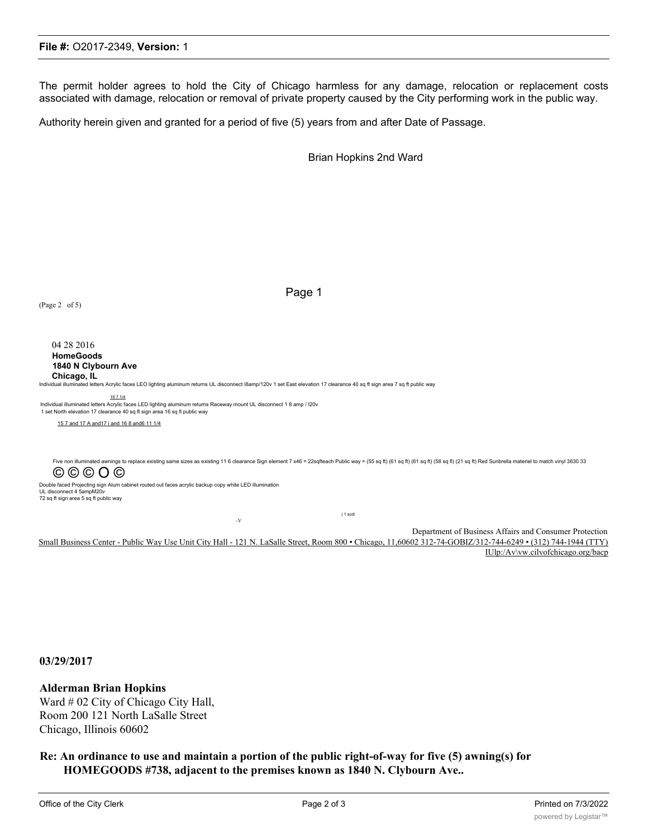#### **File #:** O2017-2349, **Version:** 1

The permit holder agrees to hold the City of Chicago harmless for any damage, relocation or replacement costs associated with damage, relocation or removal of private property caused by the City performing work in the public way.

Authority herein given and granted for a period of five (5) years from and after Date of Passage.

Brian Hopkins 2nd Ward

(Page 2 of 5)

04 28 2016 **HomeGoods 1840 N Clybourn Ave Chicago, IL**

Individual illuminated letters Acrylic faces LEO lighting aluminum returns UL disconnect I8amp/120v 1 set East elevation 17 clearance 40 sq ft sign area 7 sq ft public way

-V

16 7 1/4

Individual illuminated letters Acrylic faces LED lighting aluminum returns Raceway mount UL disconnect 1 8 amp / I20v 1 set North elevation 17 clearance 40 sq ft sign area 16 sq fl public way

15 7 and 17 A and17 i and 16 8 and6 11 1/4

Five non illuminated awnings to replace existing same sizes as existing 11 6 clearance Sign element 7 x46 = 22sqfteach Public way = (55 sq ft) (61 sq ft) (61 sq ft) (65 sq ft) (58 sq ft) (21 sq ft) Red Sunbrella materiel t © © © O © Double faced Projecting sign Alum cabinet routed out faces acrylic backup copy white LED illumination<br>UL disconnect 4 5ampM20v<br>72 sq ft sign area 5 sq ft public way | 1 scdi

Page 1

Department of Business Affairs and Consumer Protection Small Business Center - Public Way Use Unit City Hall - 121 N. LaSalle Street, Room 800 • Chicago, 11,60602 312-74-GOBIZ/312-744-6249 • (312) 744-1944 (TTY) IUlp:/Av\vw.cilvofchicago.org/bacp

**03/29/2017**

#### **Alderman Brian Hopkins**

Ward # 02 City of Chicago City Hall, Room 200 121 North LaSalle Street Chicago, Illinois 60602

**Re: An ordinance to use and maintain a portion of the public right-of-way for five (5) awning(s) for HOMEGOODS #738, adjacent to the premises known as 1840 N. Clybourn Ave..**